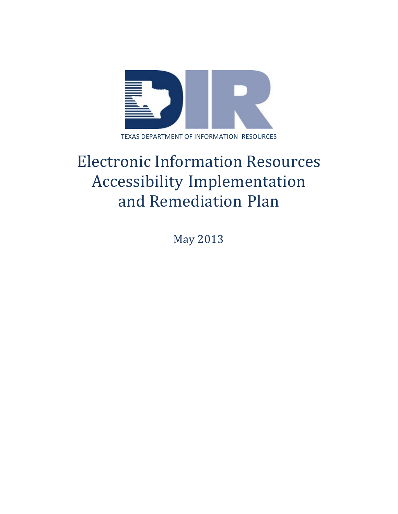

# Electronic Information Resources Accessibility Implementation and Remediation Plan

May 2013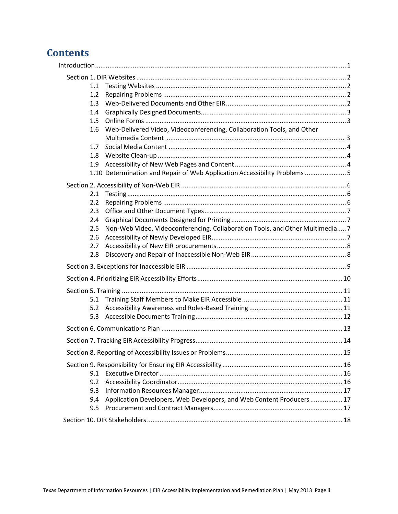# **Contents**

| 1.1 |                                                                               |  |
|-----|-------------------------------------------------------------------------------|--|
| 1.2 |                                                                               |  |
| 1.3 |                                                                               |  |
| 1.4 |                                                                               |  |
| 1.5 |                                                                               |  |
| 1.6 | Web-Delivered Video, Videoconferencing, Collaboration Tools, and Other        |  |
| 1.7 |                                                                               |  |
| 1.8 |                                                                               |  |
| 1.9 |                                                                               |  |
|     | 1.10 Determination and Repair of Web Application Accessibility Problems  5    |  |
| 2.1 |                                                                               |  |
| 2.2 |                                                                               |  |
| 2.3 |                                                                               |  |
| 2.4 |                                                                               |  |
| 2.5 | Non-Web Video, Videoconferencing, Collaboration Tools, and Other Multimedia 7 |  |
| 2.6 |                                                                               |  |
| 2.7 |                                                                               |  |
| 2.8 |                                                                               |  |
|     |                                                                               |  |
|     |                                                                               |  |
|     |                                                                               |  |
| 5.1 |                                                                               |  |
| 5.2 |                                                                               |  |
| 5.3 |                                                                               |  |
|     |                                                                               |  |
|     |                                                                               |  |
|     |                                                                               |  |
|     |                                                                               |  |
| 9.1 |                                                                               |  |
| 9.2 |                                                                               |  |
| 9.3 |                                                                               |  |
| 9.4 | Application Developers, Web Developers, and Web Content Producers 17          |  |
| 9.5 |                                                                               |  |
|     |                                                                               |  |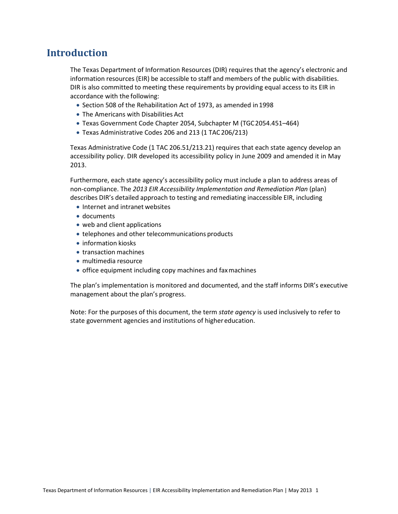## <span id="page-2-0"></span>**Introduction**

The Texas Department of Information Resources (DIR) requires that the agency's electronic and information resources (EIR) be accessible to staff and members of the public with disabilities. DIR is also committed to meeting these requirements by providing equal access to its EIR in accordance with the following:

- Section 508 of the Rehabilitation Act of 1973, as amended in1998
- The Americans with Disabilities Act
- Texas Government Code Chapter 2054, Subchapter M (TGC2054.451–464)
- Texas Administrative Codes 206 and 213 (1 TAC206/213)

Texas Administrative Code (1 TAC 206.51/213.21) requires that each state agency develop an accessibility policy. DIR developed its accessibility policy in June 2009 and amended it in May 2013.

Furthermore, each state agency's accessibility policy must include a plan to address areas of non-compliance. The *2013 EIR Accessibility Implementation and Remediation Plan* (plan) describes DIR's detailed approach to testing and remediating inaccessible EIR, including

- Internet and intranet websites
- documents
- web and client applications
- telephones and other telecommunications products
- information kiosks
- transaction machines
- multimedia resource
- office equipment including copy machines and faxmachines

The plan's implementation is monitored and documented, and the staff informs DIR's executive management about the plan's progress.

Note: For the purposes of this document, the term *state agency* is used inclusively to refer to state government agencies and institutions of higher education.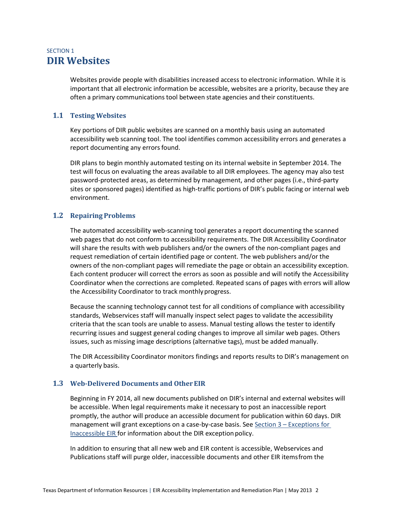## <span id="page-3-0"></span>SECTION 1 **DIR Websites**

Websites provide people with disabilities increased access to electronic information. While it is important that all electronic information be accessible, websites are a priority, because they are often a primary communications tool between state agencies and their constituents.

#### <span id="page-3-1"></span>**1.1 Testing Websites**

Key portions of DIR public websites are scanned on a monthly basis using an automated accessibility web scanning tool. The tool identifies common accessibility errors and generates a report documenting any errors found.

DIR plans to begin monthly automated testing on its internal website in September 2014. The test will focus on evaluating the areas available to all DIR employees. The agency may also test password-protected areas, as determined by management, and other pages (i.e., third-party sites or sponsored pages) identified as high-traffic portions of DIR's public facing or internal web environment.

#### <span id="page-3-2"></span>**1.2 Repairing Problems**

The automated accessibility web-scanning tool generates a report documenting the scanned web pages that do not conform to accessibility requirements. The DIR Accessibility Coordinator will share the results with web publishers and/or the owners of the non-compliant pages and request remediation of certain identified page or content. The web publishers and/or the owners of the non-compliant pages will remediate the page or obtain an accessibility exception. Each content producer will correct the errors as soon as possible and will notify the Accessibility Coordinator when the corrections are completed. Repeated scans of pages with errors will allow the Accessibility Coordinator to track monthly progress.

Because the scanning technology cannot test for all conditions of compliance with accessibility standards, Webservices staff will manually inspect select pages to validate the accessibility criteria that the scan tools are unable to assess. Manual testing allows the tester to identify recurring issues and suggest general coding changes to improve all similar web pages. Others issues, such as missing image descriptions (alternative tags), must be added manually.

The DIR Accessibility Coordinator monitors findings and reports results to DIR's management on a quarterly basis.

#### <span id="page-3-3"></span>**1.3 Web-Delivered Documents and OtherEIR**

Beginning in FY 2014, all new documents published on DIR's internal and external websites will be accessible. When legal requirements make it necessary to post an inaccessible report promptly, the author will produce an accessible document for publication within 60 days. DIR management will grant exceptions on a case-by-case basis. See Section 3 – Exceptions for Inaccessible EIR for information about the DIR exception policy.

In addition to ensuring that all new web and EIR content is accessible, Webservices and Publications staff will purge older, inaccessible documents and other EIR itemsfrom the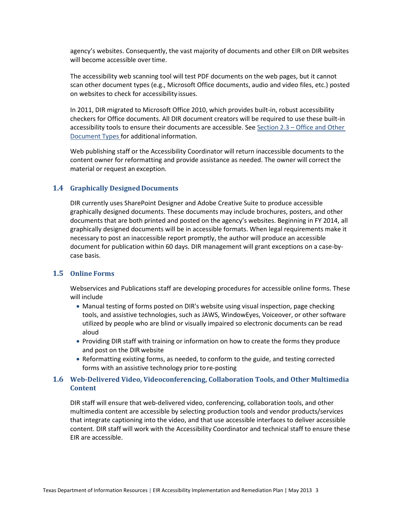agency's websites. Consequently, the vast majority of documents and other EIR on DIR websites will become accessible over time.

The accessibility web scanning tool will test PDF documents on the web pages, but it cannot scan other document types (e.g., Microsoft Office documents, audio and video files, etc.) posted on websites to check for accessibility issues.

In 2011, DIR migrated to Microsoft Office 2010, which provides built-in, robust accessibility checkers for Office documents. All DIR document creators will be required to use these built-in accessibility tools to ensure their documents are accessible. See Section 2.3 – [Office and Other](#page-8-0)  [Document Types f](#page-8-0)or additional information.

Web publishing staff or the Accessibility Coordinator will return inaccessible documents to the content owner for reformatting and provide assistance as needed. The owner will correct the material or request an exception.

#### <span id="page-4-0"></span>**1.4 Graphically Designed Documents**

DIR currently uses SharePoint Designer and Adobe Creative Suite to produce accessible graphically designed documents. These documents may include brochures, posters, and other documents that are both printed and posted on the agency's websites. Beginning in FY 2014, all graphically designed documents will be in accessible formats. When legal requirements make it necessary to post an inaccessible report promptly, the author will produce an accessible document for publication within 60 days. DIR management will grant exceptions on a case-bycase basis.

#### <span id="page-4-1"></span>**1.5 Online Forms**

Webservices and Publications staff are developing procedures for accessible online forms. These will include

- Manual testing of forms posted on DIR's website using visual inspection, page checking tools, and assistive technologies, such as JAWS, WindowEyes, Voiceover, or other software utilized by people who are blind or visually impaired so electronic documents can be read aloud
- Providing DIR staff with training or information on how to create the forms they produce and post on the DIR website
- Reformatting existing forms, as needed, to conform to the guide, and testing corrected forms with an assistive technology prior tore-posting

#### <span id="page-4-2"></span>**1.6 Web-Delivered Video, Videoconferencing, Collaboration Tools, and Other Multimedia Content**

DIR staff will ensure that web-delivered video, conferencing, collaboration tools, and other multimedia content are accessible by selecting production tools and vendor products/services that integrate captioning into the video, and that use accessible interfaces to deliver accessible content. DIR staff will work with the Accessibility Coordinator and technical staff to ensure these EIR are accessible.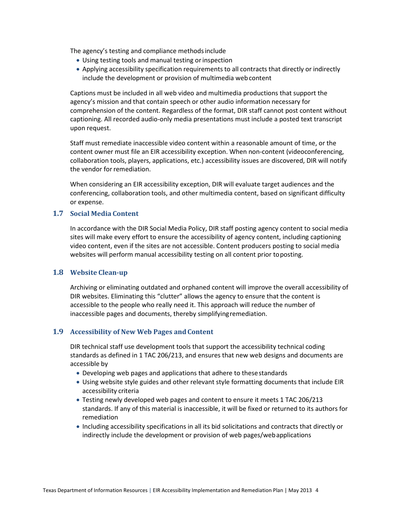The agency's testing and compliance methodsinclude

- Using testing tools and manual testing or inspection
- Applying accessibility specification requirements to all contracts that directly or indirectly include the development or provision of multimedia webcontent

Captions must be included in all web video and multimedia productions that support the agency's mission and that contain speech or other audio information necessary for comprehension of the content. Regardless of the format, DIR staff cannot post content without captioning. All recorded audio-only media presentations must include a posted text transcript upon request.

Staff must remediate inaccessible video content within a reasonable amount of time, or the content owner must file an EIR accessibility exception. When non-content (videoconferencing, collaboration tools, players, applications, etc.) accessibility issues are discovered, DIR will notify the vendor for remediation.

When considering an EIR accessibility exception, DIR will evaluate target audiences and the conferencing, collaboration tools, and other multimedia content, based on significant difficulty or expense.

#### <span id="page-5-0"></span>**1.7 Social Media Content**

In accordance with the DIR Social Media Policy, DIR staff posting agency content to social media sites will make every effort to ensure the accessibility of agency content, including captioning video content, even if the sites are not accessible. Content producers posting to social media websites will perform manual accessibility testing on all content prior toposting.

#### <span id="page-5-1"></span>**1.8 Website Clean-up**

Archiving or eliminating outdated and orphaned content will improve the overall accessibility of DIR websites. Eliminating this "clutter" allows the agency to ensure that the content is accessible to the people who really need it. This approach will reduce the number of inaccessible pages and documents, thereby simplifyingremediation.

#### <span id="page-5-2"></span>1.9 Accessibility of New Web Pages and Content

DIR technical staff use development tools that support the accessibility technical coding standards as defined in 1 TAC 206/213, and ensures that new web designs and documents are accessible by

- Developing web pages and applications that adhere to thesestandards
- Using website style guides and other relevant style formatting documents that include EIR accessibility criteria
- Testing newly developed web pages and content to ensure it meets 1 TAC 206/213 standards. If any of this material is inaccessible, it will be fixed or returned to its authors for remediation
- Including accessibility specifications in all its bid solicitations and contracts that directly or indirectly include the development or provision of web pages/webapplications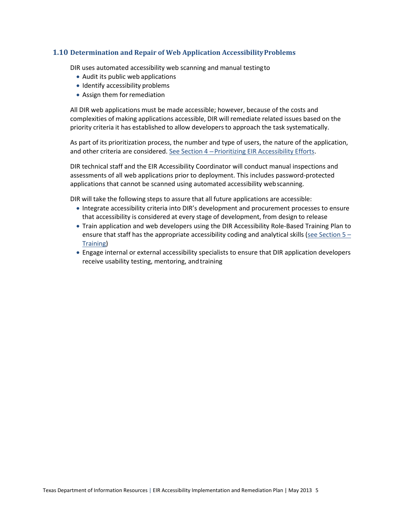#### <span id="page-6-0"></span>**1.10 Determination and Repair of Web Application AccessibilityProblems**

DIR uses automated accessibility web scanning and manual testingto

- Audit its public web applications
- Identify accessibility problems
- Assign them for remediation

All DIR web applications must be made accessible; however, because of the costs and complexities of making applications accessible, DIR will remediate related issues based on the priority criteria it has established to allow developersto approach the task systematically.

As part of its prioritization process, the number and type of users, the nature of the application, and other criteria are considered. See Section 4 – Prioritizing EIR Accessibility Efforts.

DIR technical staff and the EIR Accessibility Coordinator will conduct manual inspections and assessments of all web applications prior to deployment. This includes password-protected applications that cannot be scanned using automated accessibility webscanning.

DIR will take the following steps to assure that all future applications are accessible:

- Integrate accessibility criteria into DIR's development and procurement processes to ensure that accessibility is considered at every stage of development, from design to release
- Train application and web developers using the DIR Accessibility Role-Based Training Plan to ensure that staff has the appropriate accessibility coding and analytical skills (see Section  $5 -$ Training)
- Engage internal or external accessibility specialists to ensure that DIR application developers receive usability testing, mentoring, and training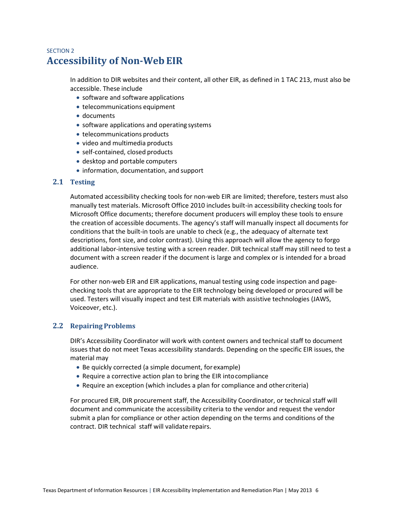## <span id="page-7-0"></span>SECTION 2 **Accessibility of Non-Web EIR**

In addition to DIR websites and their content, all other EIR, as defined in 1 TAC 213, must also be accessible. These include

- software and software applications
- telecommunications equipment
- documents
- software applications and operating systems
- telecommunications products
- video and multimedia products
- self-contained, closed products
- desktop and portable computers
- information, documentation, and support

#### <span id="page-7-1"></span>**2.1 Testing**

Automated accessibility checking tools for non-web EIR are limited; therefore, testers must also manually test materials. Microsoft Office 2010 includes built-in accessibility checking tools for Microsoft Office documents; therefore document producers will employ these tools to ensure the creation of accessible documents. The agency's staff will manually inspect all documents for conditions that the built-in tools are unable to check (e.g., the adequacy of alternate text descriptions, font size, and color contrast). Using this approach will allow the agency to forgo additional labor-intensive testing with a screen reader. DIR technical staff may still need to test a document with a screen reader if the document is large and complex or is intended for a broad audience.

For other non-web EIR and EIR applications, manual testing using code inspection and pagechecking tools that are appropriate to the EIR technology being developed or procured will be used. Testers will visually inspect and test EIR materials with assistive technologies (JAWS, Voiceover, etc.).

#### <span id="page-7-2"></span>**2.2 Repairing Problems**

DIR's Accessibility Coordinator will work with content owners and technical staff to document issues that do not meet Texas accessibility standards. Depending on the specific EIR issues, the material may

- Be quickly corrected (a simple document, forexample)
- Require a corrective action plan to bring the EIR intocompliance
- Require an exception (which includes a plan for compliance and othercriteria)

For procured EIR, DIR procurement staff, the Accessibility Coordinator, or technical staff will document and communicate the accessibility criteria to the vendor and request the vendor submit a plan for compliance or other action depending on the terms and conditions of the contract. DIR technical staff will validate repairs.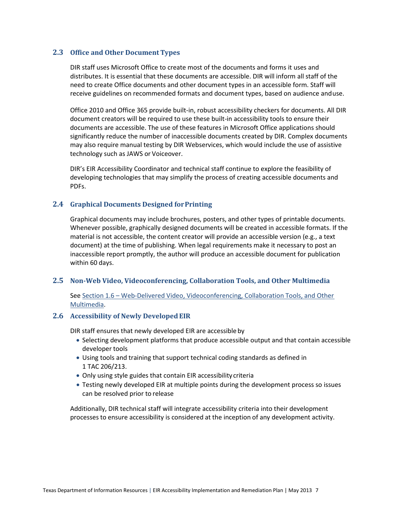#### <span id="page-8-0"></span>**2.3 Office and Other Document Types**

DIR staff uses Microsoft Office to create most of the documents and forms it uses and distributes. It is essential that these documents are accessible. DIR will inform all staff of the need to create Office documents and other document types in an accessible form. Staff will receive guidelines on recommended formats and document types, based on audience anduse.

Office 2010 and Office 365 provide built-in, robust accessibility checkers for documents. All DIR document creators will be required to use these built-in accessibility tools to ensure their documents are accessible. The use of these features in Microsoft Office applications should significantly reduce the number of inaccessible documents created by DIR. Complex documents may also require manual testing by DIR Webservices, which would include the use of assistive technology such as JAWS or Voiceover.

DIR's EIR Accessibility Coordinator and technical staff continue to explore the feasibility of developing technologies that may simplify the process of creating accessible documents and PDFs.

#### <span id="page-8-1"></span>**2.4 Graphical Documents Designed forPrinting**

Graphical documents may include brochures, posters, and other types of printable documents. Whenever possible, graphically designed documents will be created in accessible formats. If the material is not accessible, the content creator will provide an accessible version (e.g., a text document) at the time of publishing. When legal requirements make it necessary to post an inaccessible report promptly, the author will produce an accessible document for publication within 60 days.

#### <span id="page-8-2"></span>**2.5 Non-Web Video, Videoconferencing, Collaboration Tools, and Other Multimedia**

See Section 1.6 – [Web-Delivered Video, Videoconferencing, Collaboration Tools, and Other](#page-4-2)  [Multimedia.](#page-4-2)

#### <span id="page-8-3"></span>**2.6 Accessibility of Newly DevelopedEIR**

DIR staff ensures that newly developed EIR are accessible by

- Selecting development platforms that produce accessible output and that contain accessible developer tools
- Using tools and training that support technical coding standards as defined in 1 TAC 206/213.
- Only using style guides that contain EIR accessibility criteria
- Testing newly developed EIR at multiple points during the development process so issues can be resolved prior to release

Additionally, DIR technical staff will integrate accessibility criteria into their development processes to ensure accessibility is considered at the inception of any development activity.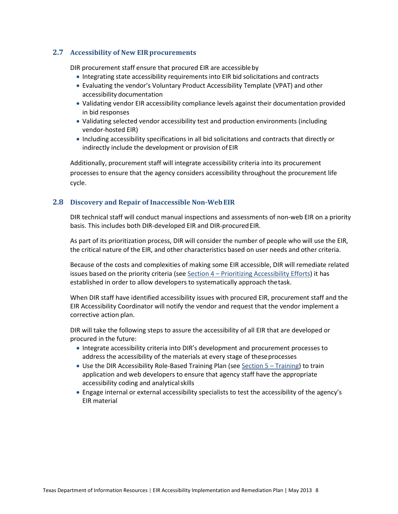#### <span id="page-9-0"></span>**2.7** Accessibility of New EIR procurements

DIR procurement staff ensure that procured EIR are accessibleby

- Integrating state accessibility requirements into EIR bid solicitations and contracts
- Evaluating the vendor's Voluntary Product Accessibility Template (VPAT) and other accessibility documentation
- Validating vendor EIR accessibility compliance levels against their documentation provided in bid responses
- Validating selected vendor accessibility test and production environments (including vendor-hosted EIR)
- Including accessibility specifications in all bid solicitations and contracts that directly or indirectly include the development or provision of EIR

Additionally, procurement staff will integrate accessibility criteria into its procurement processes to ensure that the agency considers accessibility throughout the procurement life cycle.

#### <span id="page-9-1"></span>**2.8 Discovery and Repair of Inaccessible Non-WebEIR**

DIR technical staff will conduct manual inspections and assessments of non-web EIR on a priority basis. This includes both DIR-developed EIR and DIR-procured EIR.

As part of its prioritization process, DIR will consider the number of people who will use the EIR, the critical nature of the EIR, and other characteristics based on user needs and other criteria.

Because of the costs and complexities of making some EIR accessible, DIR will remediate related issues based on the priority criteria (see Section 4 – Prioritizing Accessibility Efforts) it has established in order to allow developers to systematically approach thetask.

When DIR staff have identified accessibility issues with procured EIR, procurement staff and the EIR Accessibility Coordinator will notify the vendor and request that the vendor implement a corrective action plan.

DIR will take the following steps to assure the accessibility of all EIR that are developed or procured in the future:

- Integrate accessibility criteria into DIR's development and procurement processes to address the accessibility of the materials at every stage of theseprocesses
- Use the DIR Accessibility Role-Based Training Plan (see Section 5 Training) to train application and web developers to ensure that agency staff have the appropriate accessibility coding and analyticalskills
- Engage internal or external accessibility specialists to test the accessibility of the agency's EIR material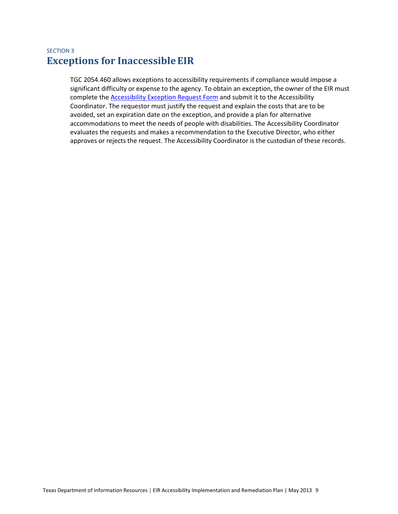## <span id="page-10-0"></span>SECTION 3 **Exceptions for InaccessibleEIR**

TGC 2054.460 allows exceptions to accessibility requirements if compliance would impose a significant difficulty or expense to the agency. To obtain an exception, the owner of the EIR must complete the **Accessibility Exception Request Form and submit it to the Accessibility** Coordinator. The requestor must justify the request and explain the costs that are to be avoided, set an expiration date on the exception, and provide a plan for alternative accommodations to meet the needs of people with disabilities. The Accessibility Coordinator evaluates the requests and makes a recommendation to the Executive Director, who either approves or rejects the request. The Accessibility Coordinator is the custodian of these records.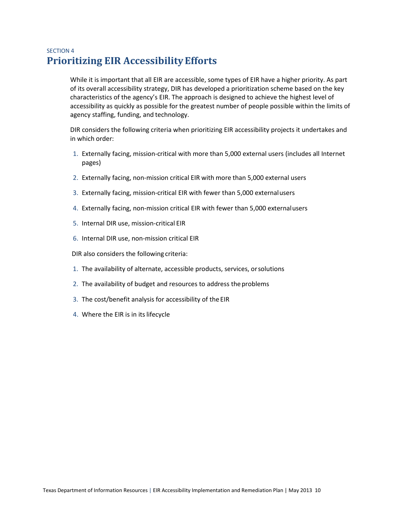## <span id="page-11-0"></span>SECTION 4 **Prioritizing EIR AccessibilityEfforts**

While it is important that all EIR are accessible, some types of EIR have a higher priority. As part of its overall accessibility strategy, DIR has developed a prioritization scheme based on the key characteristics of the agency's EIR. The approach is designed to achieve the highest level of accessibility as quickly as possible for the greatest number of people possible within the limits of agency staffing, funding, and technology.

DIR considers the following criteria when prioritizing EIR accessibility projects it undertakes and in which order:

- 1. Externally facing, mission-critical with more than 5,000 external users (includes all Internet pages)
- 2. Externally facing, non-mission critical EIR with more than 5,000 external users
- 3. Externally facing, mission-critical EIR with fewer than 5,000 externalusers
- 4. Externally facing, non-mission critical EIR with fewer than 5,000 externalusers
- 5. Internal DIR use, mission-critical EIR
- 6. Internal DIR use, non-mission critical EIR

DIR also considers the following criteria:

- 1. The availability of alternate, accessible products, services, orsolutions
- 2. The availability of budget and resources to address the problems
- 3. The cost/benefit analysis for accessibility of theEIR
- 4. Where the EIR is in its lifecycle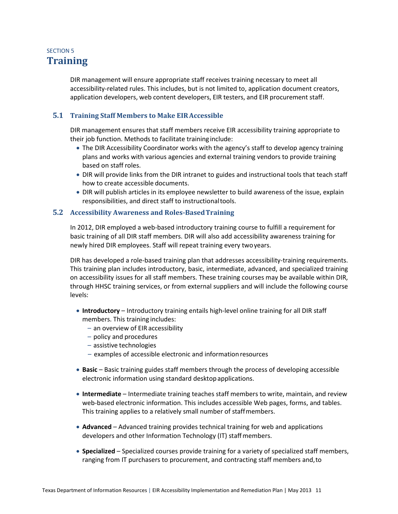## <span id="page-12-0"></span>SECTION 5 **Training**

DIR management will ensure appropriate staff receives training necessary to meet all accessibility-related rules. This includes, but is not limited to, application document creators, application developers, web content developers, EIR testers, and EIR procurement staff.

#### <span id="page-12-1"></span>**5.1 Training Staff Members to Make EIRAccessible**

DIR management ensures that staff members receive EIR accessibility training appropriate to their job function. Methods to facilitate training include:

- The DIR Accessibility Coordinator works with the agency's staff to develop agency training plans and works with various agencies and external training vendors to provide training based on staff roles.
- DIR will provide links from the DIR intranet to guides and instructional tools that teach staff how to create accessible documents.
- DIR will publish articles in its employee newsletter to build awareness of the issue, explain responsibilities, and direct staff to instructionaltools.

#### <span id="page-12-2"></span>**5.2 Accessibility Awareness and Roles-BasedTraining**

In 2012, DIR employed a web-based introductory training course to fulfill a requirement for basic training of all DIR staff members. DIR will also add accessibility awareness training for newly hired DIR employees. Staff will repeat training every twoyears.

DIR has developed a role-based training plan that addresses accessibility-training requirements. This training plan includes introductory, basic, intermediate, advanced, and specialized training on accessibility issues for all staff members. These training courses may be available within DIR, through HHSC training services, or from external suppliers and will include the following course levels:

- **Introductory**  Introductory training entails high-level online training for all DIR staff members. This training includes:
	- an overview of EIR accessibility
	- policy and procedures
	- assistive technologies
	- examples of accessible electronic and informationresources
- **Basic**  Basic training guides staff members through the process of developing accessible electronic information using standard desktopapplications.
- **Intermediate**  Intermediate training teaches staff members to write, maintain, and review web-based electronic information. This includes accessible Web pages, forms, and tables. This training applies to a relatively small number of staffmembers.
- **Advanced**  Advanced training provides technical training for web and applications developers and other Information Technology (IT) staffmembers.
- **Specialized**  Specialized courses provide training for a variety of specialized staff members, ranging from IT purchasers to procurement, and contracting staff members and,to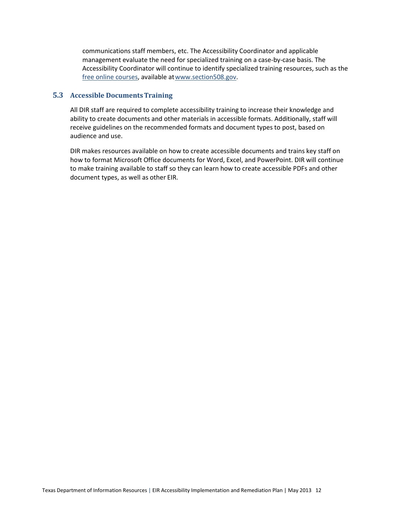communications staff members, etc. The Accessibility Coordinator and applicable management evaluate the need for specialized training on a case-by-case basis. The Accessibility Coordinator will continue to identify specialized training resources, such as the [free online courses,](http://www.section508.gov/index.cfm?fuseAction=Courses) available a[twww.section508.gov.](http://www.section508.gov/)

#### <span id="page-13-0"></span>**5.3 Accessible DocumentsTraining**

All DIR staff are required to complete accessibility training to increase their knowledge and ability to create documents and other materials in accessible formats. Additionally, staff will receive guidelines on the recommended formats and document types to post, based on audience and use.

DIR makes resources available on how to create accessible documents and trains key staff on how to format Microsoft Office documents for Word, Excel, and PowerPoint. DIR will continue to make training available to staff so they can learn how to create accessible PDFs and other document types, as well as other EIR.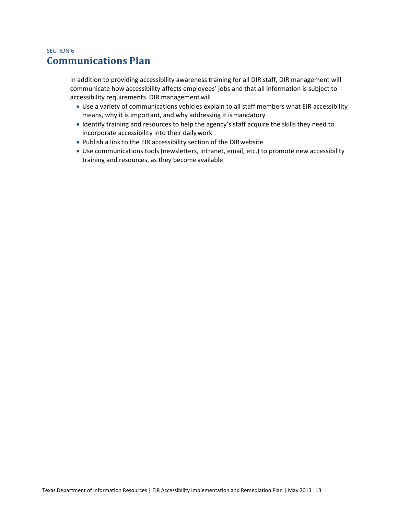### <span id="page-14-0"></span>SECTION 6 **Communications Plan**

In addition to providing accessibility awareness training for all DIR staff, DIR management will communicate how accessibility affects employees' jobs and that all information is subject to accessibility requirements. DIR management will

- Use a variety of communications vehicles explain to all staff members what EIR accessibility means, why it is important, and why addressing it ismandatory
- Identify training and resources to help the agency's staff acquire the skills they need to incorporate accessibility into their dailywork
- Publish a link to the EIR accessibility section of the DIRwebsite
- Use communications tools (newsletters, intranet, email, etc.) to promote new accessibility training and resources, as they becomeavailable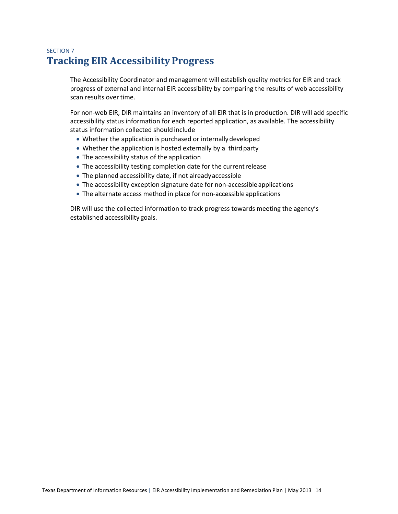## <span id="page-15-0"></span>SECTION 7 **Tracking EIR Accessibility Progress**

The Accessibility Coordinator and management will establish quality metrics for EIR and track progress of external and internal EIR accessibility by comparing the results of web accessibility scan results over time.

For non-web EIR, DIR maintains an inventory of all EIR that is in production. DIR will add specific accessibility status information for each reported application, as available. The accessibility status information collected should include

- Whether the application is purchased or internally developed
- Whether the application is hosted externally by a third party
- The accessibility status of the application
- The accessibility testing completion date for the current release
- The planned accessibility date, if not alreadyaccessible
- The accessibility exception signature date for non-accessibleapplications
- The alternate access method in place for non-accessible applications

DIR will use the collected information to track progress towards meeting the agency's established accessibility goals.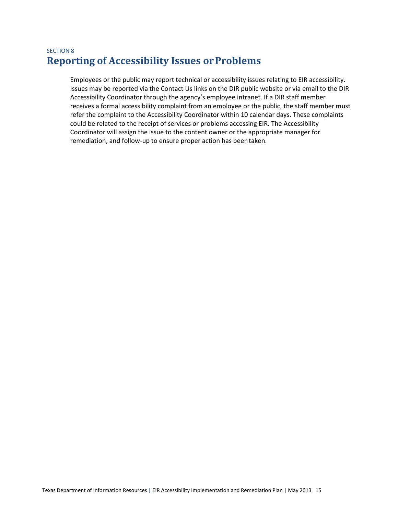## <span id="page-16-0"></span>SECTION 8 **Reporting of Accessibility Issues orProblems**

Employees or the public may report technical or accessibility issues relating to EIR accessibility. Issues may be reported via the Contact Us links on the DIR public website or via email to the DIR Accessibility Coordinator through the agency's employee intranet. If a DIR staff member receives a formal accessibility complaint from an employee or the public, the staff member must refer the complaint to the Accessibility Coordinator within 10 calendar days. These complaints could be related to the receipt of services or problems accessing EIR. The Accessibility Coordinator will assign the issue to the content owner or the appropriate manager for remediation, and follow-up to ensure proper action has beentaken.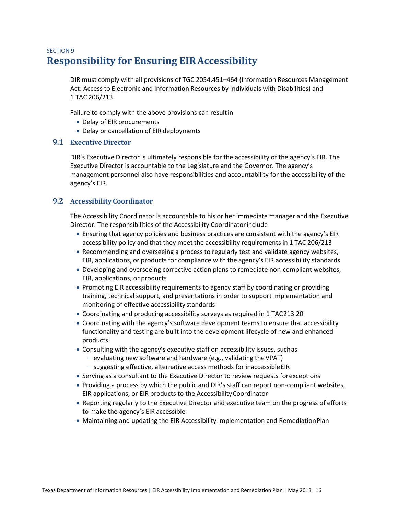## <span id="page-17-0"></span>SECTION 9 **Responsibility for Ensuring EIRAccessibility**

DIR must comply with all provisions of TGC 2054.451–464 (Information Resources Management Act: Access to Electronic and Information Resources by Individuals with Disabilities) and 1 TAC 206/213.

Failure to comply with the above provisions can resultin

- Delay of EIR procurements
- Delay or cancellation of EIR deployments

#### <span id="page-17-1"></span>**9.1 Executive Director**

DIR's Executive Director is ultimately responsible for the accessibility of the agency's EIR. The Executive Director is accountable to the Legislature and the Governor. The agency's management personnel also have responsibilities and accountability for the accessibility of the agency's EIR.

#### <span id="page-17-2"></span>**9.2 Accessibility Coordinator**

The Accessibility Coordinator is accountable to his or her immediate manager and the Executive Director. The responsibilities of the Accessibility Coordinatorinclude

- Ensuring that agency policies and business practices are consistent with the agency's EIR accessibility policy and that they meet the accessibility requirements in 1 TAC 206/213
- Recommending and overseeing a process to regularly test and validate agency websites, EIR, applications, or products for compliance with the agency's EIR accessibility standards
- Developing and overseeing corrective action plans to remediate non-compliant websites, EIR, applications, or products
- Promoting EIR accessibility requirements to agency staff by coordinating or providing training, technical support, and presentations in order to support implementation and monitoring of effective accessibility standards
- Coordinating and producing accessibility surveys as required in 1 TAC213.20
- Coordinating with the agency's software development teams to ensure that accessibility functionality and testing are built into the development lifecycle of new and enhanced products
- Consulting with the agency's executive staff on accessibility issues, suchas
	- $-$  evaluating new software and hardware (e.g., validating the VPAT)
	- suggesting effective, alternative access methods for inaccessibleEIR
- Serving as a consultant to the Executive Director to review requests forexceptions
- Providing a process by which the public and DIR's staff can report non-compliant websites, EIR applications, or EIR products to the AccessibilityCoordinator
- Reporting regularly to the Executive Director and executive team on the progress of efforts to make the agency's EIR accessible
- Maintaining and updating the EIR Accessibility Implementation and RemediationPlan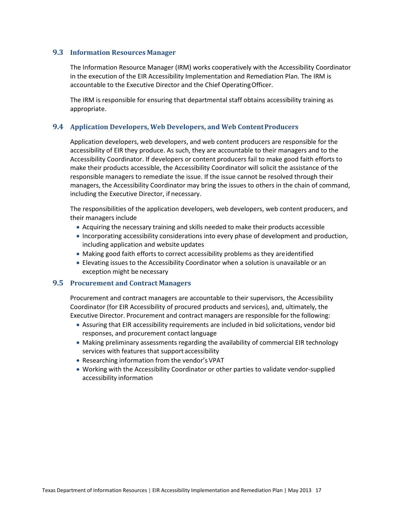#### <span id="page-18-0"></span>**9.3 Information Resources Manager**

The Information Resource Manager (IRM) works cooperatively with the Accessibility Coordinator in the execution of the EIR Accessibility Implementation and Remediation Plan. The IRM is accountable to the Executive Director and the Chief OperatingOfficer.

The IRM is responsible for ensuring that departmental staff obtains accessibility training as appropriate.

#### <span id="page-18-1"></span>**9.4 Application Developers, Web Developers, and Web ContentProducers**

Application developers, web developers, and web content producers are responsible for the accessibility of EIR they produce. As such, they are accountable to their managers and to the Accessibility Coordinator. If developers or content producers fail to make good faith efforts to make their products accessible, the Accessibility Coordinator will solicit the assistance of the responsible managers to remediate the issue. If the issue cannot be resolved through their managers, the Accessibility Coordinator may bring the issues to others in the chain of command, including the Executive Director, if necessary.

The responsibilities of the application developers, web developers, web content producers, and their managers include

- Acquiring the necessary training and skills needed to make their products accessible
- Incorporating accessibility considerations into every phase of development and production, including application and website updates
- Making good faith efforts to correct accessibility problems as they areidentified
- Elevating issues to the Accessibility Coordinator when a solution is unavailable or an exception might be necessary

#### <span id="page-18-2"></span>**9.5 Procurement and Contract Managers**

Procurement and contract managers are accountable to their supervisors, the Accessibility Coordinator (for EIR Accessibility of procured products and services), and, ultimately, the Executive Director. Procurement and contract managers are responsible for the following:

- Assuring that EIR accessibility requirements are included in bid solicitations, vendor bid responses, and procurement contact language
- Making preliminary assessments regarding the availability of commercial EIR technology services with features that support accessibility
- Researching information from the vendor's VPAT
- Working with the Accessibility Coordinator or other parties to validate vendor-supplied accessibility information